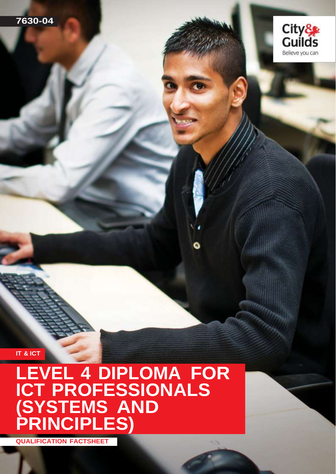

**IT & ICT**

## **LEVEL 4 DIPLOMA FOR ICT PROFESSIONALS (SYSTEMS AND PRINCIPLES)**

**QUALIFICATION FACTSHEET**